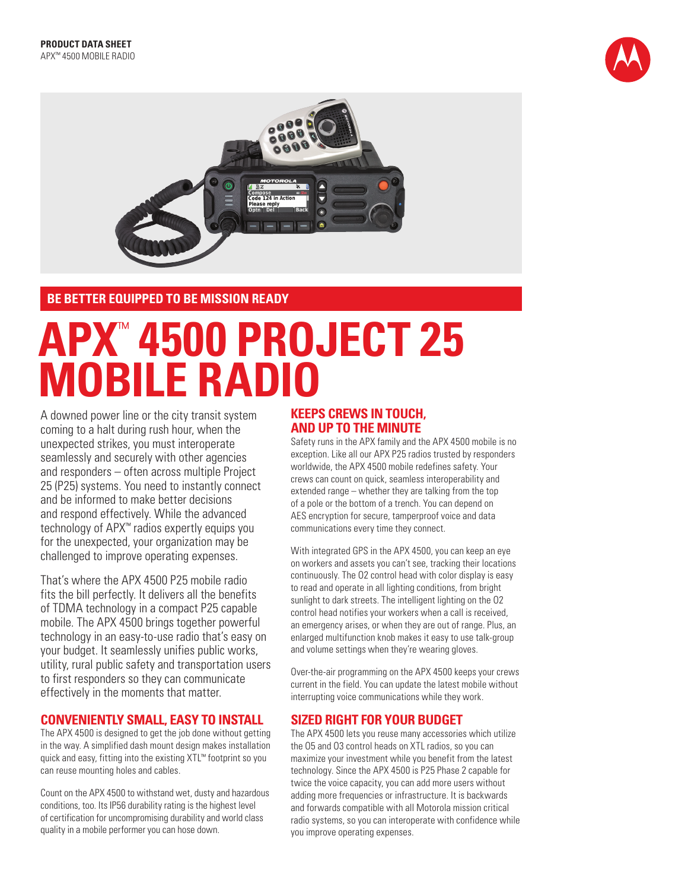



**BE BETTER EQUIPPED TO BE MISSION READY**

# **APX**™ **4500 PROJECT 25 MOBILE RADIO**

A downed power line or the city transit system coming to a halt during rush hour, when the unexpected strikes, you must interoperate seamlessly and securely with other agencies and responders – often across multiple Project 25 (P25) systems. You need to instantly connect and be informed to make better decisions and respond effectively. While the advanced technology of APX™ radios expertly equips you for the unexpected, your organization may be challenged to improve operating expenses.

That's where the APX 4500 P25 mobile radio fits the bill perfectly. It delivers all the benefits of TDMA technology in a compact P25 capable mobile. The APX 4500 brings together powerful technology in an easy-to-use radio that's easy on your budget. It seamlessly unifies public works, utility, rural public safety and transportation users to first responders so they can communicate effectively in the moments that matter.

## **CONVENIENTLY SMALL, EASY TO INSTALL**

The APX 4500 is designed to get the job done without getting in the way. A simplified dash mount design makes installation quick and easy, fitting into the existing XTL™ footprint so you can reuse mounting holes and cables.

Count on the APX 4500 to withstand wet, dusty and hazardous conditions, too. Its IP56 durability rating is the highest level of certification for uncompromising durability and world class quality in a mobile performer you can hose down.

## **KEEPS CREWS IN TOUCH, AND UP TO THE MINUTE**

Safety runs in the APX family and the APX 4500 mobile is no exception. Like all our APX P25 radios trusted by responders worldwide, the APX 4500 mobile redefines safety. Your crews can count on quick, seamless interoperability and extended range – whether they are talking from the top of a pole or the bottom of a trench. You can depend on AES encryption for secure, tamperproof voice and data communications every time they connect.

With integrated GPS in the APX 4500, you can keep an eye on workers and assets you can't see, tracking their locations continuously. The O2 control head with color display is easy to read and operate in all lighting conditions, from bright sunlight to dark streets. The intelligent lighting on the O2 control head notifies your workers when a call is received, an emergency arises, or when they are out of range. Plus, an enlarged multifunction knob makes it easy to use talk-group and volume settings when they're wearing gloves.

Over-the-air programming on the APX 4500 keeps your crews current in the field. You can update the latest mobile without interrupting voice communications while they work.

## **SIZED RIGHT FOR YOUR BUDGET**

The APX 4500 lets you reuse many accessories which utilize the O5 and O3 control heads on XTL radios, so you can maximize your investment while you benefit from the latest technology. Since the APX 4500 is P25 Phase 2 capable for twice the voice capacity, you can add more users without adding more frequencies or infrastructure. It is backwards and forwards compatible with all Motorola mission critical radio systems, so you can interoperate with confidence while you improve operating expenses.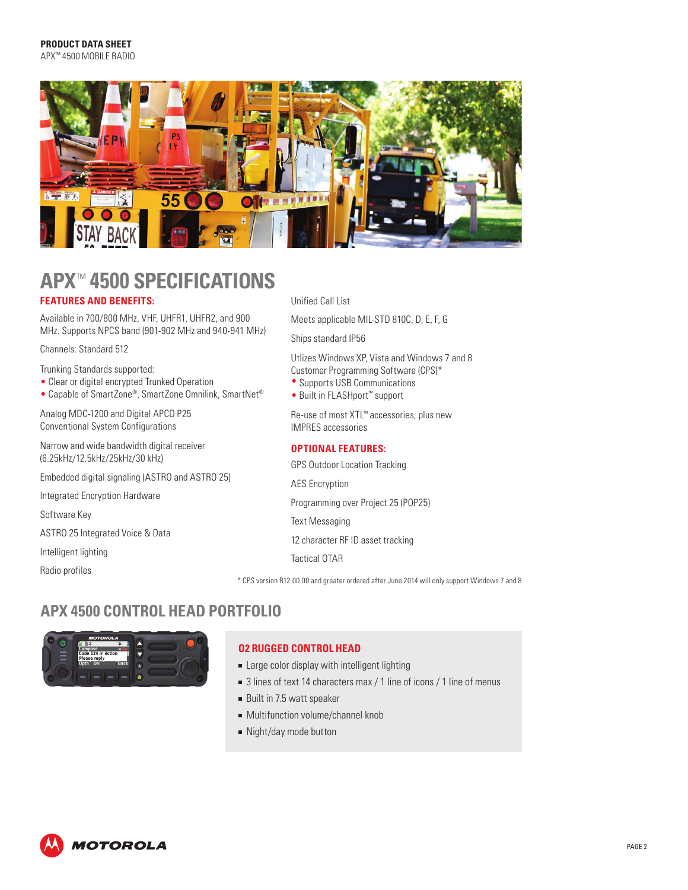

# **APX**™ **4500 SPECIFICATIONS FEATURES AND BENEFITS:**

Available in 700/800 MHz, VHF, UHFR1, UHFR2, and 900 MHz. Supports NPCS band (901-902 MHz and 940-941 MHz)

Channels: Standard 512

- Trunking Standards supported:
- Clear or digital encrypted Trunked Operation
- Capable of SmartZone®, SmartZone Omnilink, SmartNet®

Analog MDC-1200 and Digital APCO P25 Conventional System Configurations

Narrow and wide bandwidth digital receiver (6.25kHz/12.5kHz/25kHz/30 kHz)

Embedded digital signaling (ASTRO and ASTRO 25)

Integrated Encryption Hardware

Software Key

ASTRO 25 Integrated Voice & Data

Intelligent lighting

Radio profiles

#### Unified Call List

Meets applicable MIL-STD 810C, D, E, F, G

Ships standard IP56

Utlizes Windows XP, Vista and Windows 7 and 8 Customer Programming Software (CPS)\*

- Supports USB Communications
- Built in FLASHport™ support

Re-use of most XTL™ accessories, plus new IMPRES accessories

#### **OPTIONAL FEATURES:**

GPS Outdoor Location Tracking AES Encryption Programming over Project 25 (POP25) Text Messaging 12 character RF ID asset tracking Tactical OTAR

\* CPS version R12.00.00 and greater ordered after June 2014 will only support Windows 7 and 8

# **APX 4500 CONTROL HEAD PORTFOLIO**



#### **O2 RUGGED CONTROL HEAD**

- **Example 2** Large color display with intelligent lighting
- 3 lines of text 14 characters max / 1 line of icons / 1 line of menus
- Built in 7.5 watt speaker
- **Multifunction volume/channel knob**
- Night/day mode button

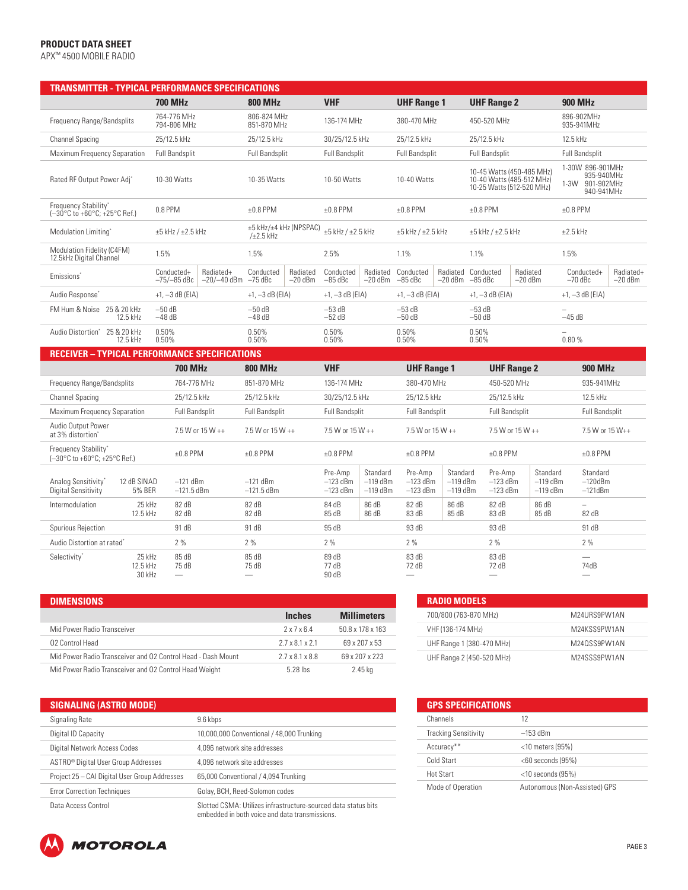#### **PRODUCT DATA SHEET**

APX™ 4500 MOBILE RADIO

| <b>TRANSMITTER - TYPICAL PERFORMANCE SPECIFICATIONS</b>                    |                                                 |                            |                                          |                       |                                     |                                      |                                     |                                      |                                                                                     |                                      |                                        |                          |  |
|----------------------------------------------------------------------------|-------------------------------------------------|----------------------------|------------------------------------------|-----------------------|-------------------------------------|--------------------------------------|-------------------------------------|--------------------------------------|-------------------------------------------------------------------------------------|--------------------------------------|----------------------------------------|--------------------------|--|
|                                                                            | <b>700 MHz</b>                                  |                            | <b>800 MHz</b>                           |                       | <b>VHF</b>                          |                                      | <b>UHF Range 1</b>                  |                                      | <b>UHF Range 2</b>                                                                  |                                      | <b>900 MHz</b>                         |                          |  |
| 764-776 MHz<br>Frequency Range/Bandsplits<br>794-806 MHz                   |                                                 | 806-824 MHz<br>851-870 MHz |                                          | 136-174 MHz           |                                     |                                      | 380-470 MHz                         |                                      | 450-520 MHz                                                                         |                                      | 896-902MHz<br>935-941MHz               |                          |  |
| <b>Channel Spacing</b>                                                     | 25/12.5 kHz                                     |                            | 25/12.5 kHz                              |                       | 30/25/12.5 kHz                      |                                      | 25/12.5 kHz                         |                                      | 25/12.5 kHz                                                                         |                                      |                                        | 12.5 kHz                 |  |
| Maximum Frequency Separation                                               | <b>Full Bandsplit</b>                           |                            | <b>Full Bandsplit</b>                    |                       | <b>Full Bandsplit</b>               |                                      | <b>Full Bandsplit</b>               |                                      | <b>Full Bandsplit</b>                                                               |                                      | Full Bandsplit                         |                          |  |
| Rated RF Output Power Adj*                                                 | 10-30 Watts                                     |                            | 10-35 Watts                              |                       | 10-50 Watts                         |                                      | 10-40 Watts                         |                                      | 10-45 Watts (450-485 MHz)<br>10-40 Watts (485-512 MHz)<br>10-25 Watts (512-520 MHz) |                                      | 1-30W 896-901MHz<br>1-3W 901-902MHz    | 935-940MHz<br>940-941MHz |  |
| Frequency Stability*<br>(-30°C to +60°C; +25°C Ref.)                       | 0.8 PPM                                         |                            | $±0.8$ PPM                               |                       | $±0.8$ PPM                          |                                      | $±0.8$ PPM                          | $±0.8$ PPM                           |                                                                                     |                                      | $±0.8$ PPM                             |                          |  |
| Modulation Limiting*                                                       | $\pm 5$ kHz / $\pm 2.5$ kHz                     |                            | ±5 kHz/±4 kHz (NPSPAC)<br>$/\pm 2.5$ kHz |                       | $\pm 5$ kHz / $\pm 2.5$ kHz         |                                      | $\pm 5$ kHz / $\pm 2.5$ kHz         |                                      | $±5$ kHz / $±2.5$ kHz                                                               |                                      | $\pm 2.5$ kHz                          |                          |  |
| Modulation Fidelity (C4FM)<br>12.5kHz Digital Channel                      | 1.5%                                            |                            | 1.5%                                     |                       | 2.5%                                |                                      | 1.1%                                |                                      | 1.1%                                                                                |                                      | 1.5%                                   |                          |  |
| Emissions'                                                                 | Conducted+<br>-75/-85 dBc                       | Radiated+<br>$-20/-40$ dBm | Conducted<br>$-75$ dBc                   | Radiated<br>$-20$ dBm | Conducted<br>$-85$ dBc              | Radiated<br>$-20$ dBm                | Conducted<br>$-85$ dBc              | $-20$ dBm                            | Radiated Conducted<br>$-85$ dBc                                                     | Radiated<br>$-20$ dBm                | Conducted+<br>$-70$ dBc                | Radiated+<br>$-20$ dBm   |  |
| Audio Response <sup>*</sup>                                                | $+1, -3$ dB (EIA)                               |                            | $+1, -3$ dB (EIA)                        |                       | $+1, -3$ dB (EIA)                   |                                      | $+1, -3$ dB (EIA)                   |                                      | $+1, -3$ dB (EIA)                                                                   |                                      | $+1, -3$ dB (EIA)                      |                          |  |
| FM Hum & Noise 25 & 20 kHz<br>12.5 kHz                                     | $-50dB$<br>$-48$ dB                             |                            | $-50$ dB<br>$-48$ dB                     |                       | $-53dB$<br>$-52$ dB                 |                                      | $-53$ dB<br>$-50dB$                 |                                      | $-53$ dB<br>$-50dB$                                                                 |                                      | L.<br>$-45dB$                          |                          |  |
| Audio Distortion*<br>25 & 20 kHz<br>12.5 kHz                               | 0.50%<br>0.50%                                  |                            | 0.50%<br>0.50%                           |                       | 0.50%<br>0.50%                      |                                      | 0.50%<br>0.50%                      |                                      | 0.50%<br>0.50%                                                                      |                                      | 0.80%                                  |                          |  |
| <b>RECEIVER - TYPICAL PERFORMANCE SPECIFICATIONS</b>                       |                                                 |                            |                                          |                       |                                     |                                      |                                     |                                      |                                                                                     |                                      |                                        |                          |  |
|                                                                            | <b>700 MHz</b>                                  |                            | <b>800 MHz</b>                           |                       | <b>VHF</b>                          |                                      | <b>UHF Range 1</b>                  |                                      |                                                                                     | <b>UHF Range 2</b>                   | <b>900 MHz</b>                         |                          |  |
| Frequency Range/Bandsplits                                                 | 764-776 MHz                                     |                            | 851-870 MHz                              |                       | 136-174 MHz                         |                                      | 380-470 MHz                         |                                      | 450-520 MHz                                                                         |                                      | 935-941MHz                             |                          |  |
| <b>Channel Spacing</b>                                                     | 25/12.5 kHz                                     |                            | 25/12.5 kHz                              |                       | 30/25/12.5 kHz                      |                                      | 25/12.5 kHz                         |                                      | 25/12.5 kHz                                                                         |                                      | 12.5 kHz                               |                          |  |
| Maximum Frequency Separation                                               | <b>Full Bandsplit</b>                           |                            | <b>Full Bandsplit</b>                    |                       | <b>Full Bandsplit</b>               |                                      | <b>Full Bandsplit</b>               |                                      | <b>Full Bandsplit</b>                                                               |                                      | <b>Full Bandsplit</b>                  |                          |  |
| Audio Output Power<br>at 3% distortion*                                    |                                                 | 7.5 W or 15 W ++           | 7.5 W or 15 W ++                         |                       | 7.5 W or 15 W ++                    |                                      | 7.5 W or 15 W ++                    |                                      |                                                                                     | 7.5 W or 15 W ++                     |                                        | 7.5 W or 15 W++          |  |
| Frequency Stability*<br>(-30°C to +60°C; +25°C Ref.)                       | $±0.8$ PPM                                      |                            | $±0.8$ PPM                               |                       | $±0.8$ PPM                          |                                      | $±0.8$ PPM                          |                                      | $±0.8$ PPM                                                                          |                                      | $±0.8$ PPM                             |                          |  |
| 12 dB SINAD<br>Analog Sensitivity*<br><b>5% BER</b><br>Digital Sensitivity | $-121$ dBm<br>$-121.5$ dBm                      |                            | $-121$ dBm<br>$-121.5$ dBm               |                       | Pre-Amp<br>$-123$ dBm<br>$-123$ dBm | Standard<br>$-119$ dBm<br>$-119$ dBm | Pre-Amp<br>$-123$ dBm<br>$-123$ dBm | Standard<br>$-119$ dBm<br>$-119$ dBm | Pre-Amp<br>$-123$ dBm<br>$-123$ dBm                                                 | Standard<br>$-119$ dBm<br>$-119$ dBm | Standard<br>$-120$ d $Bm$<br>$-121dBm$ |                          |  |
| Intermodulation<br>25 kHz<br>12.5 kHz                                      | 82 dB<br>82 dB                                  |                            | 82 dB<br>82 dB                           |                       | 84 dB<br>85 dB                      | 86 dB<br>86 dB                       | 82 dB<br>83 dB                      | 86 dB<br>85 dB                       | 82 dB<br>83 dB                                                                      | 86 dB<br>85 dB                       | L.<br>82 dB                            |                          |  |
| Spurious Rejection                                                         | 91 dB                                           |                            | 91 dB                                    |                       | 95 dB                               |                                      | 93 dB                               |                                      | 93 dB                                                                               |                                      | 91 dB                                  |                          |  |
| Audio Distortion at rated"                                                 | 2%                                              |                            | 2%                                       |                       | 2%                                  |                                      | 2%                                  |                                      | 2%                                                                                  |                                      | 2%                                     |                          |  |
| Selectivity*<br>25 kHz<br>12.5 kHz<br>30 kHz                               | 85 dB<br>75 dB<br>$\overbrace{\phantom{12332}}$ |                            | 85 dB<br>75 dB                           |                       | 89 dB<br>77 dB<br>90 dB             |                                      | 83 dB<br>72 dB<br>$\qquad \qquad$   |                                      | 83 dB<br>72 dB<br>$\overline{\phantom{m}}$                                          |                                      | 74dB                                   |                          |  |

| <b>DIMENSIONS</b>                                            |                             |                    |
|--------------------------------------------------------------|-----------------------------|--------------------|
|                                                              | <b>Inches</b>               | <b>Millimeters</b> |
| Mid Power Radio Transceiver                                  | 2x7x64                      | 50.8 x 178 x 163   |
| 02 Control Head                                              | $2.7 \times 8.1 \times 2.1$ | 69 x 207 x 53      |
| Mid Power Radio Transceiver and 02 Control Head - Dash Mount | 2.7 x 8.1 x 8.8             | 69 x 207 x 223     |
| Mid Power Radio Transceiver and O2 Control Head Weight       | 5.28 lbs                    | 2.45 kg            |

| <b>SIGNALING (ASTRO MODE)</b>                   |                                                                                                                  |
|-------------------------------------------------|------------------------------------------------------------------------------------------------------------------|
| Signaling Rate                                  | 9.6 kbps                                                                                                         |
| Digital ID Capacity                             | 10,000,000 Conventional / 48,000 Trunking                                                                        |
| Digital Network Access Codes                    | 4.096 network site addresses                                                                                     |
| ASTRO <sup>®</sup> Digital User Group Addresses | 4.096 network site addresses                                                                                     |
| Project 25 - CAI Digital User Group Addresses   | 65,000 Conventional / 4,094 Trunking                                                                             |
| <b>Error Correction Techniques</b>              | Golay, BCH, Reed-Solomon codes                                                                                   |
| Data Access Control                             | Slotted CSMA: Utilizes infrastructure-sourced data status bits<br>embedded in both voice and data transmissions. |

| <b>RADIO MODELS</b>       |              |
|---------------------------|--------------|
| 700/800 (763-870 MHz)     | M24URS9PW1AN |
| VHF (136-174 MHz)         | M24KSS9PW1AN |
| UHF Range 1 (380-470 MHz) | M240SS9PW1AN |
| UHF Range 2 (450-520 MHz) | M24SSS9PW1AN |

| <b>GPS SPECIFICATIONS</b>   |                               |  |  |  |  |
|-----------------------------|-------------------------------|--|--|--|--|
| Channels                    | 12                            |  |  |  |  |
| <b>Tracking Sensitivity</b> | $-153$ dBm                    |  |  |  |  |
| Accuracy**                  | $<$ 10 meters (95%)           |  |  |  |  |
| Cold Start                  | $<$ 60 seconds (95%)          |  |  |  |  |
| Hot Start                   | $<$ 10 seconds (95%)          |  |  |  |  |
| Mode of Operation           | Autonomous (Non-Assisted) GPS |  |  |  |  |